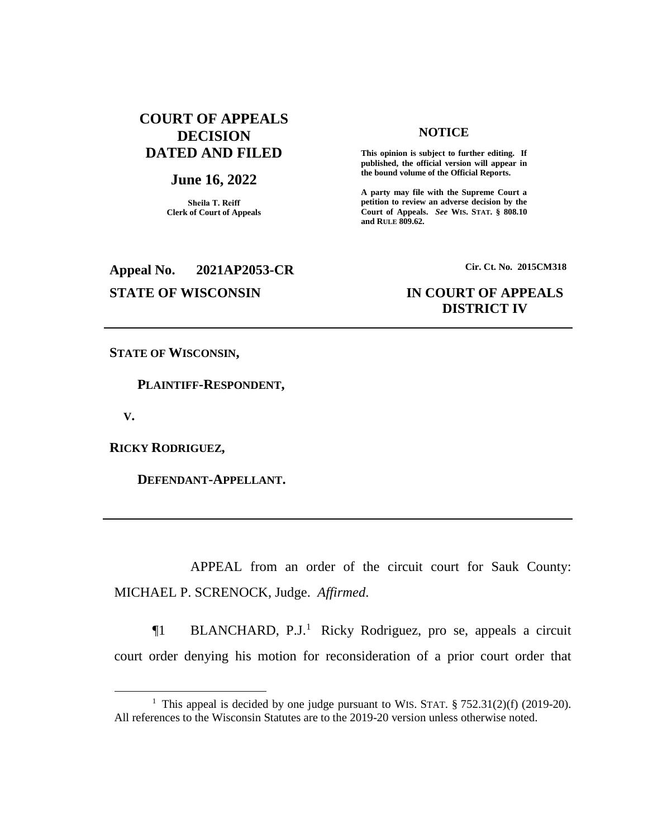# **COURT OF APPEALS DECISION DATED AND FILED**

# **June 16, 2022**

**Sheila T. Reiff Clerk of Court of Appeals**

# **Appeal No. 2021AP2053-CR Cir. Ct. No. 2015CM318**

#### **NOTICE**

**This opinion is subject to further editing. If published, the official version will appear in the bound volume of the Official Reports.** 

**A party may file with the Supreme Court a petition to review an adverse decision by the Court of Appeals.** *See* **WIS. STAT. § 808.10 and RULE 809.62.** 

# **STATE OF WISCONSIN IN COURT OF APPEALS DISTRICT IV**

**STATE OF WISCONSIN,**

 **PLAINTIFF-RESPONDENT,**

 **V.**

 $\overline{a}$ 

**RICKY RODRIGUEZ,**

 **DEFENDANT-APPELLANT.**

APPEAL from an order of the circuit court for Sauk County: MICHAEL P. SCRENOCK, Judge. *Affirmed*.

¶1 BLANCHARD, P.J.<sup>1</sup> Ricky Rodriguez, pro se, appeals a circuit court order denying his motion for reconsideration of a prior court order that

<sup>&</sup>lt;sup>1</sup> This appeal is decided by one judge pursuant to WIS. STAT.  $\S 752.31(2)(f)$  (2019-20). All references to the Wisconsin Statutes are to the 2019-20 version unless otherwise noted.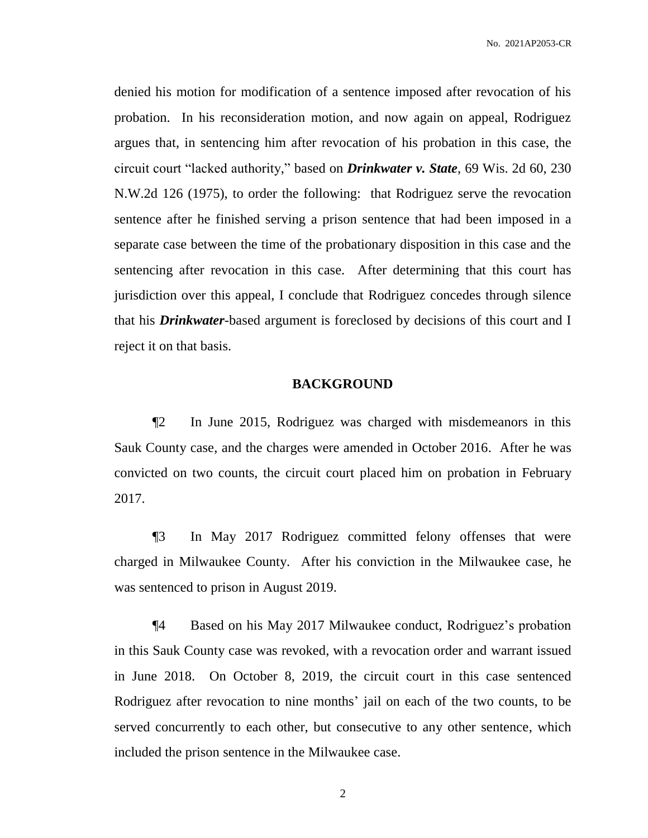denied his motion for modification of a sentence imposed after revocation of his probation. In his reconsideration motion, and now again on appeal, Rodriguez argues that, in sentencing him after revocation of his probation in this case, the circuit court "lacked authority," based on *Drinkwater v. State*, 69 Wis. 2d 60, 230 N.W.2d 126 (1975), to order the following: that Rodriguez serve the revocation sentence after he finished serving a prison sentence that had been imposed in a separate case between the time of the probationary disposition in this case and the sentencing after revocation in this case. After determining that this court has jurisdiction over this appeal, I conclude that Rodriguez concedes through silence that his *Drinkwater*-based argument is foreclosed by decisions of this court and I reject it on that basis.

# **BACKGROUND**

¶2 In June 2015, Rodriguez was charged with misdemeanors in this Sauk County case, and the charges were amended in October 2016. After he was convicted on two counts, the circuit court placed him on probation in February 2017.

¶3 In May 2017 Rodriguez committed felony offenses that were charged in Milwaukee County. After his conviction in the Milwaukee case, he was sentenced to prison in August 2019.

¶4 Based on his May 2017 Milwaukee conduct, Rodriguez's probation in this Sauk County case was revoked, with a revocation order and warrant issued in June 2018. On October 8, 2019, the circuit court in this case sentenced Rodriguez after revocation to nine months' jail on each of the two counts, to be served concurrently to each other, but consecutive to any other sentence, which included the prison sentence in the Milwaukee case.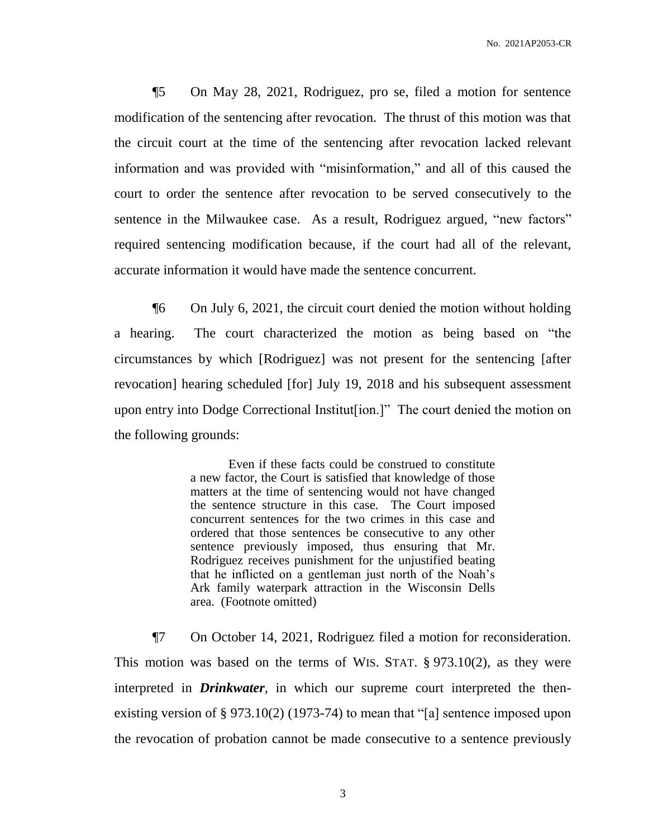¶5 On May 28, 2021, Rodriguez, pro se, filed a motion for sentence modification of the sentencing after revocation. The thrust of this motion was that the circuit court at the time of the sentencing after revocation lacked relevant information and was provided with "misinformation," and all of this caused the court to order the sentence after revocation to be served consecutively to the sentence in the Milwaukee case. As a result, Rodriguez argued, "new factors" required sentencing modification because, if the court had all of the relevant, accurate information it would have made the sentence concurrent.

¶6 On July 6, 2021, the circuit court denied the motion without holding a hearing. The court characterized the motion as being based on "the circumstances by which [Rodriguez] was not present for the sentencing [after revocation] hearing scheduled [for] July 19, 2018 and his subsequent assessment upon entry into Dodge Correctional Institut[ion.]" The court denied the motion on the following grounds:

> Even if these facts could be construed to constitute a new factor, the Court is satisfied that knowledge of those matters at the time of sentencing would not have changed the sentence structure in this case. The Court imposed concurrent sentences for the two crimes in this case and ordered that those sentences be consecutive to any other sentence previously imposed, thus ensuring that Mr. Rodriguez receives punishment for the unjustified beating that he inflicted on a gentleman just north of the Noah's Ark family waterpark attraction in the Wisconsin Dells area. (Footnote omitted)

¶7 On October 14, 2021, Rodriguez filed a motion for reconsideration. This motion was based on the terms of WIS. STAT. § 973.10(2), as they were interpreted in *Drinkwater*, in which our supreme court interpreted the thenexisting version of § 973.10(2) (1973-74) to mean that "[a] sentence imposed upon the revocation of probation cannot be made consecutive to a sentence previously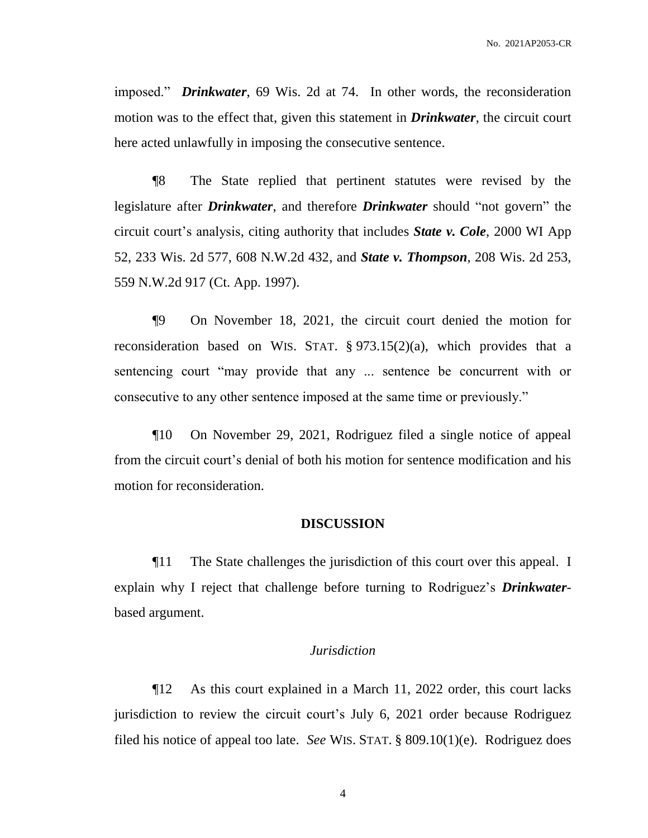imposed." *Drinkwater*, 69 Wis. 2d at 74. In other words, the reconsideration motion was to the effect that, given this statement in *Drinkwater*, the circuit court here acted unlawfully in imposing the consecutive sentence.

¶8 The State replied that pertinent statutes were revised by the legislature after *Drinkwater*, and therefore *Drinkwater* should "not govern" the circuit court's analysis, citing authority that includes *State v. Cole*, 2000 WI App 52, 233 Wis. 2d 577, 608 N.W.2d 432, and *State v. Thompson*, 208 Wis. 2d 253, 559 N.W.2d 917 (Ct. App. 1997).

¶9 On November 18, 2021, the circuit court denied the motion for reconsideration based on WIS. STAT. § 973.15(2)(a), which provides that a sentencing court "may provide that any ... sentence be concurrent with or consecutive to any other sentence imposed at the same time or previously."

¶10 On November 29, 2021, Rodriguez filed a single notice of appeal from the circuit court's denial of both his motion for sentence modification and his motion for reconsideration.

# **DISCUSSION**

¶11 The State challenges the jurisdiction of this court over this appeal. I explain why I reject that challenge before turning to Rodriguez's *Drinkwater*based argument.

### *Jurisdiction*

¶12 As this court explained in a March 11, 2022 order, this court lacks jurisdiction to review the circuit court's July 6, 2021 order because Rodriguez filed his notice of appeal too late. *See* WIS. STAT. § 809.10(1)(e). Rodriguez does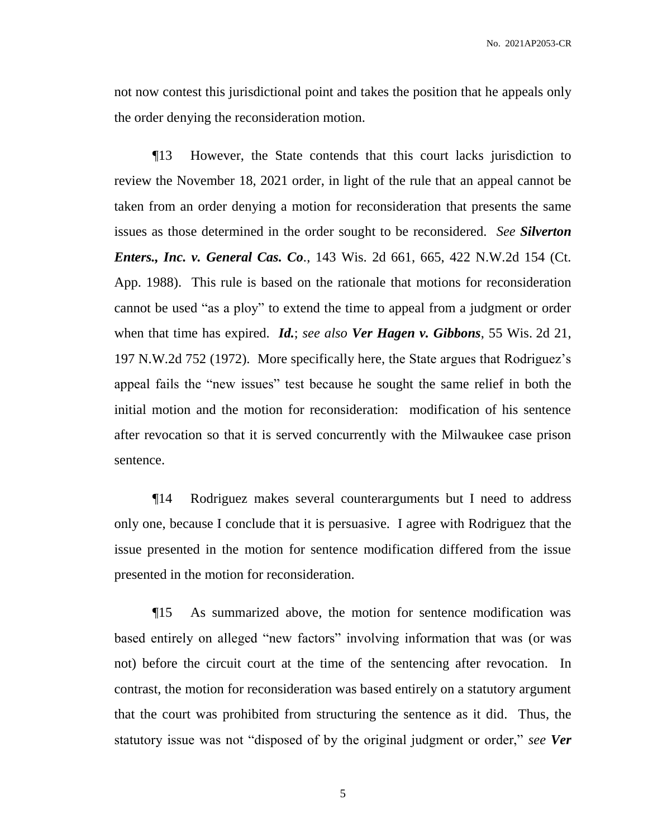not now contest this jurisdictional point and takes the position that he appeals only the order denying the reconsideration motion.

¶13 However, the State contends that this court lacks jurisdiction to review the November 18, 2021 order, in light of the rule that an appeal cannot be taken from an order denying a motion for reconsideration that presents the same issues as those determined in the order sought to be reconsidered. *See Silverton Enters., Inc. v. General Cas. Co.*, 143 Wis. 2d 661, 665, 422 N.W.2d 154 (Ct. App. 1988). This rule is based on the rationale that motions for reconsideration cannot be used "as a ploy" to extend the time to appeal from a judgment or order when that time has expired. *Id.*; *see also Ver Hagen v. Gibbons*, 55 Wis. 2d 21, 197 N.W.2d 752 (1972). More specifically here, the State argues that Rodriguez's appeal fails the "new issues" test because he sought the same relief in both the initial motion and the motion for reconsideration: modification of his sentence after revocation so that it is served concurrently with the Milwaukee case prison sentence.

¶14 Rodriguez makes several counterarguments but I need to address only one, because I conclude that it is persuasive. I agree with Rodriguez that the issue presented in the motion for sentence modification differed from the issue presented in the motion for reconsideration.

¶15 As summarized above, the motion for sentence modification was based entirely on alleged "new factors" involving information that was (or was not) before the circuit court at the time of the sentencing after revocation. In contrast, the motion for reconsideration was based entirely on a statutory argument that the court was prohibited from structuring the sentence as it did. Thus, the statutory issue was not "disposed of by the original judgment or order," *see Ver*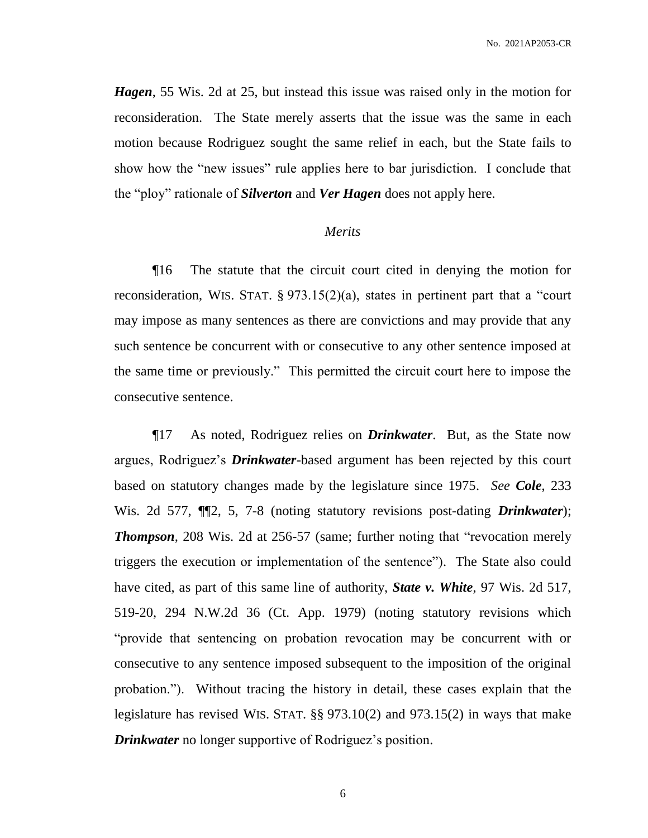*Hagen*, 55 Wis. 2d at 25, but instead this issue was raised only in the motion for reconsideration. The State merely asserts that the issue was the same in each motion because Rodriguez sought the same relief in each, but the State fails to show how the "new issues" rule applies here to bar jurisdiction. I conclude that the "ploy" rationale of *Silverton* and *Ver Hagen* does not apply here.

# *Merits*

¶16 The statute that the circuit court cited in denying the motion for reconsideration, WIS. STAT. § 973.15(2)(a), states in pertinent part that a "court may impose as many sentences as there are convictions and may provide that any such sentence be concurrent with or consecutive to any other sentence imposed at the same time or previously." This permitted the circuit court here to impose the consecutive sentence.

¶17 As noted, Rodriguez relies on *Drinkwater*. But, as the State now argues, Rodriguez's *Drinkwater*-based argument has been rejected by this court based on statutory changes made by the legislature since 1975. *See Cole*, 233 Wis. 2d 577, ¶¶2, 5, 7-8 (noting statutory revisions post-dating *Drinkwater*); *Thompson*, 208 Wis. 2d at 256-57 (same; further noting that "revocation merely triggers the execution or implementation of the sentence"). The State also could have cited, as part of this same line of authority, *State v. White*, 97 Wis. 2d 517, 519-20, 294 N.W.2d 36 (Ct. App. 1979) (noting statutory revisions which "provide that sentencing on probation revocation may be concurrent with or consecutive to any sentence imposed subsequent to the imposition of the original probation."). Without tracing the history in detail, these cases explain that the legislature has revised WIS. STAT. §§ 973.10(2) and 973.15(2) in ways that make *Drinkwater* no longer supportive of Rodriguez's position.